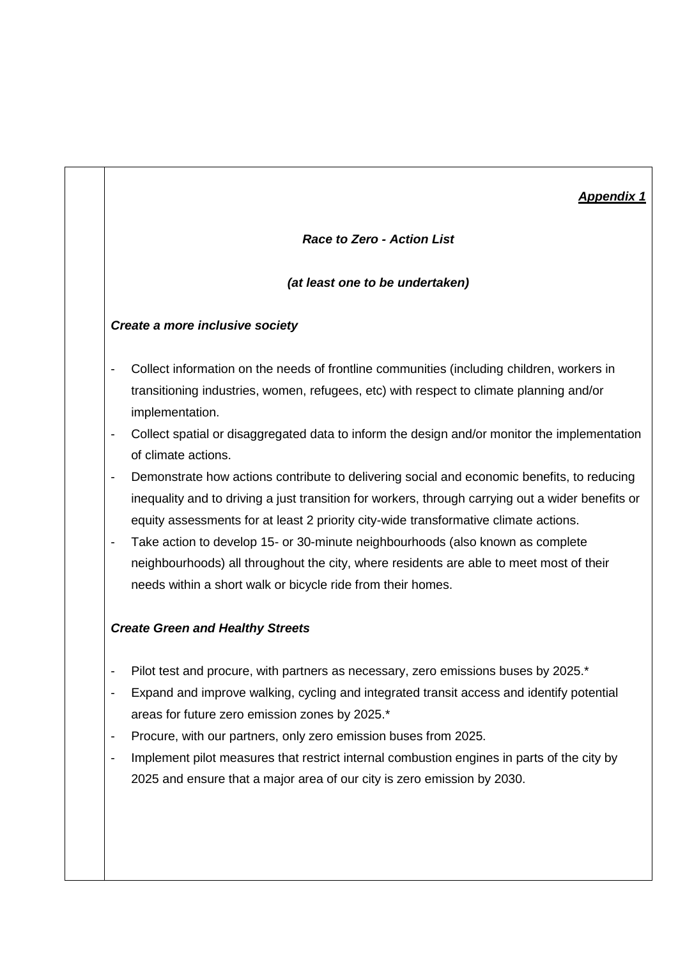## *Appendix 1*

#### *Race to Zero - Action List*

#### *(at least one to be undertaken)*

#### *Create a more inclusive society*

- Collect information on the needs of frontline communities (including children, workers in transitioning industries, women, refugees, etc) with respect to climate planning and/or implementation.
- Collect spatial or disaggregated data to inform the design and/or monitor the implementation of climate actions.
- Demonstrate how actions contribute to delivering social and economic benefits, to reducing inequality and to driving a just transition for workers, through carrying out a wider benefits or equity assessments for at least 2 priority city-wide transformative climate actions.
- Take action to develop 15- or 30-minute neighbourhoods (also known as complete neighbourhoods) all throughout the city, where residents are able to meet most of their needs within a short walk or bicycle ride from their homes.

#### *Create Green and Healthy Streets*

- Pilot test and procure, with partners as necessary, zero emissions buses by 2025.\*
- Expand and improve walking, cycling and integrated transit access and identify potential areas for future zero emission zones by 2025.\*
- Procure, with our partners, only zero emission buses from 2025.
- Implement pilot measures that restrict internal combustion engines in parts of the city by 2025 and ensure that a major area of our city is zero emission by 2030.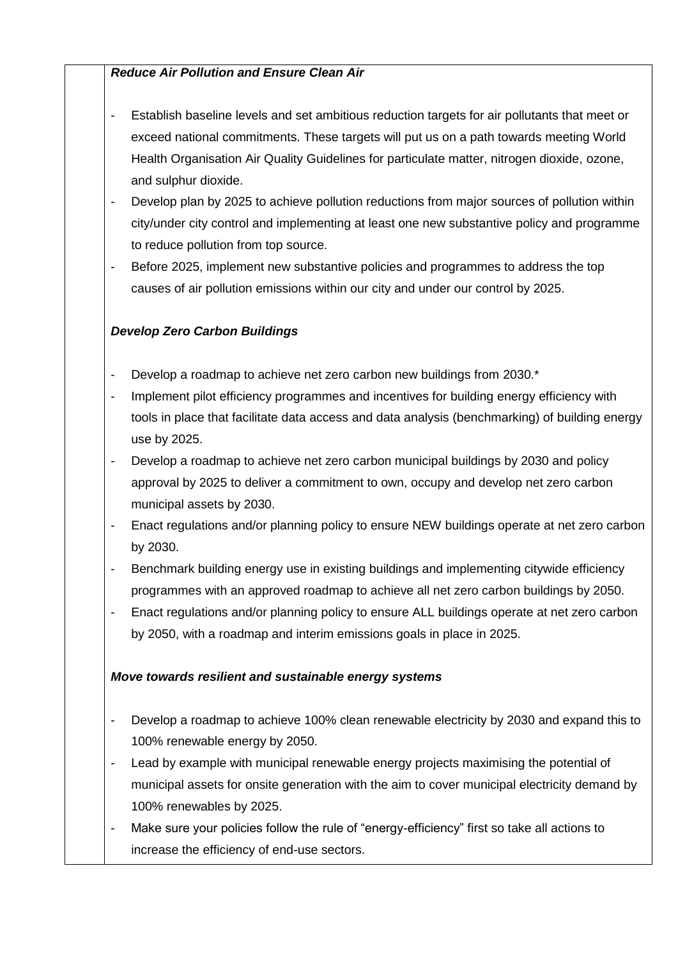# *Reduce Air Pollution and Ensure Clean Air*

- Establish baseline levels and set ambitious reduction targets for air pollutants that meet or exceed national commitments. These targets will put us on a path towards meeting World Health Organisation Air Quality Guidelines for particulate matter, nitrogen dioxide, ozone, and sulphur dioxide.
- Develop plan by 2025 to achieve pollution reductions from major sources of pollution within city/under city control and implementing at least one new substantive policy and programme to reduce pollution from top source.
- Before 2025, implement new substantive policies and programmes to address the top causes of air pollution emissions within our city and under our control by 2025.

# *Develop Zero Carbon Buildings*

- Develop a roadmap to achieve net zero carbon new buildings from 2030.\*
- Implement pilot efficiency programmes and incentives for building energy efficiency with tools in place that facilitate data access and data analysis (benchmarking) of building energy use by 2025.
- Develop a roadmap to achieve net zero carbon municipal buildings by 2030 and policy approval by 2025 to deliver a commitment to own, occupy and develop net zero carbon municipal assets by 2030.
- Enact regulations and/or planning policy to ensure NEW buildings operate at net zero carbon by 2030.
- Benchmark building energy use in existing buildings and implementing citywide efficiency programmes with an approved roadmap to achieve all net zero carbon buildings by 2050.
- Enact regulations and/or planning policy to ensure ALL buildings operate at net zero carbon by 2050, with a roadmap and interim emissions goals in place in 2025.

#### *Move towards resilient and sustainable energy systems*

- Develop a roadmap to achieve 100% clean renewable electricity by 2030 and expand this to 100% renewable energy by 2050.
- Lead by example with municipal renewable energy projects maximising the potential of municipal assets for onsite generation with the aim to cover municipal electricity demand by 100% renewables by 2025.
- Make sure your policies follow the rule of "energy-efficiency" first so take all actions to increase the efficiency of end-use sectors.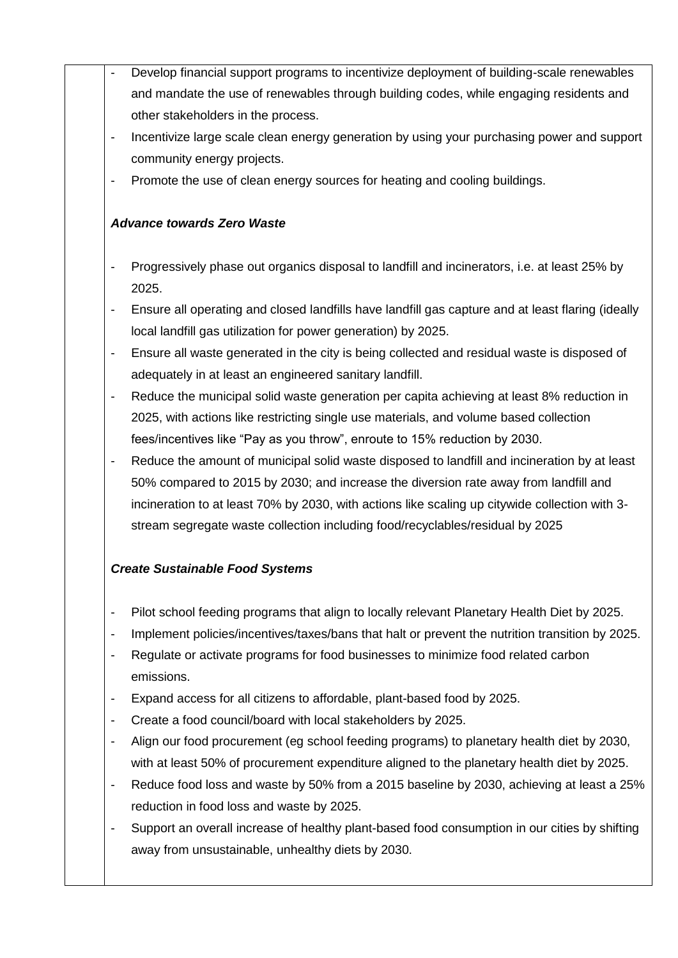- Develop financial support programs to incentivize deployment of building-scale renewables and mandate the use of renewables through building codes, while engaging residents and other stakeholders in the process.
	- Incentivize large scale clean energy generation by using your purchasing power and support community energy projects.
	- Promote the use of clean energy sources for heating and cooling buildings.

# *Advance towards Zero Waste*

- Progressively phase out organics disposal to landfill and incinerators, i.e. at least 25% by 2025.
- Ensure all operating and closed landfills have landfill gas capture and at least flaring (ideally local landfill gas utilization for power generation) by 2025.
- Ensure all waste generated in the city is being collected and residual waste is disposed of adequately in at least an engineered sanitary landfill.
- Reduce the municipal solid waste generation per capita achieving at least 8% reduction in 2025, with actions like restricting single use materials, and volume based collection fees/incentives like "Pay as you throw", enroute to 15% reduction by 2030.
- Reduce the amount of municipal solid waste disposed to landfill and incineration by at least 50% compared to 2015 by 2030; and increase the diversion rate away from landfill and incineration to at least 70% by 2030, with actions like scaling up citywide collection with 3 stream segregate waste collection including food/recyclables/residual by 2025

# *Create Sustainable Food Systems*

- Pilot school feeding programs that align to locally relevant Planetary Health Diet by 2025.
- Implement policies/incentives/taxes/bans that halt or prevent the nutrition transition by 2025.
- Regulate or activate programs for food businesses to minimize food related carbon emissions.
- Expand access for all citizens to affordable, plant-based food by 2025.
- Create a food council/board with local stakeholders by 2025.
- Align our food procurement (eg school feeding programs) to planetary health diet by 2030, with at least 50% of procurement expenditure aligned to the planetary health diet by 2025.
- Reduce food loss and waste by 50% from a 2015 baseline by 2030, achieving at least a 25% reduction in food loss and waste by 2025.
- Support an overall increase of healthy plant-based food consumption in our cities by shifting away from unsustainable, unhealthy diets by 2030.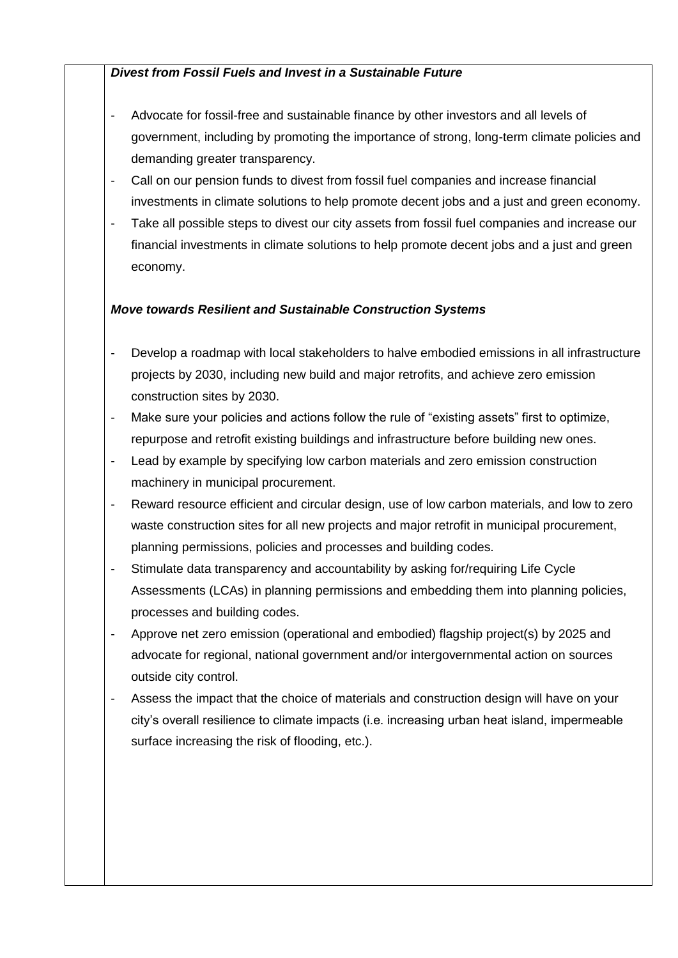# *Divest from Fossil Fuels and Invest in a Sustainable Future*

- Advocate for fossil-free and sustainable finance by other investors and all levels of government, including by promoting the importance of strong, long-term climate policies and demanding greater transparency.
- Call on our pension funds to divest from fossil fuel companies and increase financial investments in climate solutions to help promote decent jobs and a just and green economy.
- Take all possible steps to divest our city assets from fossil fuel companies and increase our financial investments in climate solutions to help promote decent jobs and a just and green economy.

# *Move towards Resilient and Sustainable Construction Systems*

- Develop a roadmap with local stakeholders to halve embodied emissions in all infrastructure projects by 2030, including new build and major retrofits, and achieve zero emission construction sites by 2030.
- Make sure your policies and actions follow the rule of "existing assets" first to optimize, repurpose and retrofit existing buildings and infrastructure before building new ones.
- Lead by example by specifying low carbon materials and zero emission construction machinery in municipal procurement.
- Reward resource efficient and circular design, use of low carbon materials, and low to zero waste construction sites for all new projects and major retrofit in municipal procurement, planning permissions, policies and processes and building codes.
- Stimulate data transparency and accountability by asking for/requiring Life Cycle Assessments (LCAs) in planning permissions and embedding them into planning policies, processes and building codes.
- Approve net zero emission (operational and embodied) flagship project(s) by 2025 and advocate for regional, national government and/or intergovernmental action on sources outside city control.
- Assess the impact that the choice of materials and construction design will have on your city's overall resilience to climate impacts (i.e. increasing urban heat island, impermeable surface increasing the risk of flooding, etc.).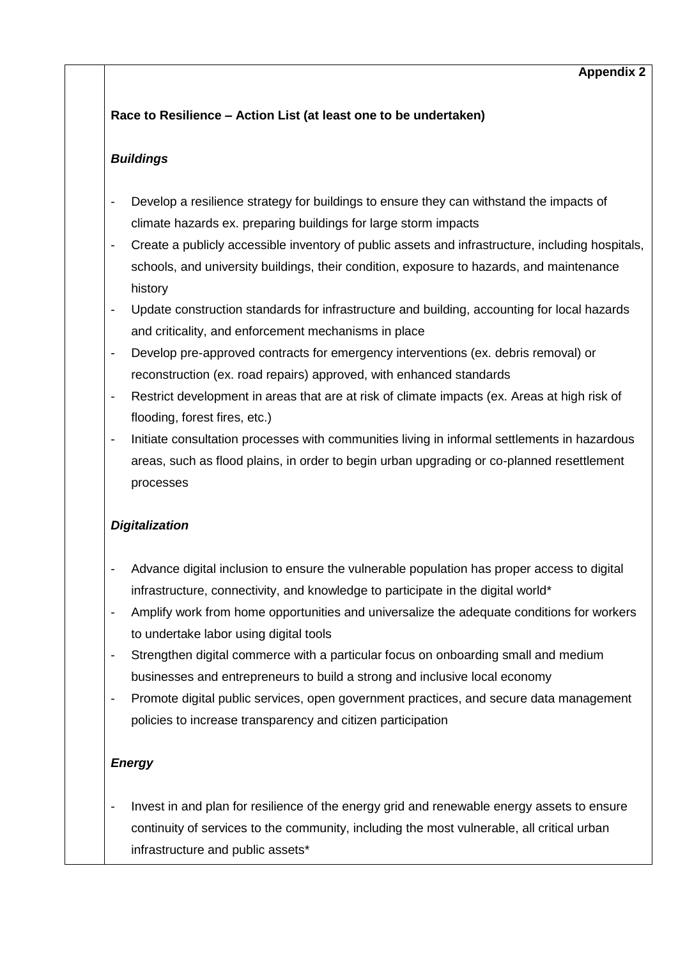### **Appendix 2**

# **Race to Resilience – Action List (at least one to be undertaken)**

# *Buildings*

- Develop a resilience strategy for buildings to ensure they can withstand the impacts of climate hazards ex. preparing buildings for large storm impacts
- Create a publicly accessible inventory of public assets and infrastructure, including hospitals, schools, and university buildings, their condition, exposure to hazards, and maintenance history
- Update construction standards for infrastructure and building, accounting for local hazards and criticality, and enforcement mechanisms in place
- Develop pre-approved contracts for emergency interventions (ex. debris removal) or reconstruction (ex. road repairs) approved, with enhanced standards
- Restrict development in areas that are at risk of climate impacts (ex. Areas at high risk of flooding, forest fires, etc.)
- Initiate consultation processes with communities living in informal settlements in hazardous areas, such as flood plains, in order to begin urban upgrading or co-planned resettlement processes

# *Digitalization*

- Advance digital inclusion to ensure the vulnerable population has proper access to digital infrastructure, connectivity, and knowledge to participate in the digital world\*
- Amplify work from home opportunities and universalize the adequate conditions for workers to undertake labor using digital tools
- Strengthen digital commerce with a particular focus on onboarding small and medium businesses and entrepreneurs to build a strong and inclusive local economy
- Promote digital public services, open government practices, and secure data management policies to increase transparency and citizen participation

# *Energy*

Invest in and plan for resilience of the energy grid and renewable energy assets to ensure continuity of services to the community, including the most vulnerable, all critical urban infrastructure and public assets\*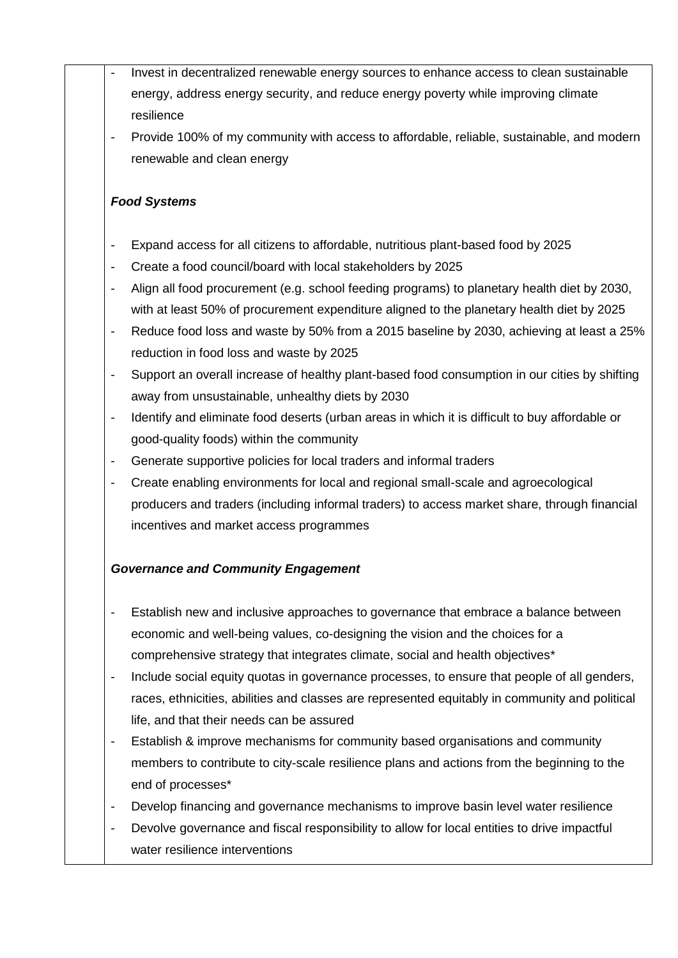- Invest in decentralized renewable energy sources to enhance access to clean sustainable energy, address energy security, and reduce energy poverty while improving climate resilience
	- Provide 100% of my community with access to affordable, reliable, sustainable, and modern renewable and clean energy

### *Food Systems*

- Expand access for all citizens to affordable, nutritious plant-based food by 2025
- Create a food council/board with local stakeholders by 2025
- Align all food procurement (e.g. school feeding programs) to planetary health diet by 2030, with at least 50% of procurement expenditure aligned to the planetary health diet by 2025
- Reduce food loss and waste by 50% from a 2015 baseline by 2030, achieving at least a 25% reduction in food loss and waste by 2025
- Support an overall increase of healthy plant-based food consumption in our cities by shifting away from unsustainable, unhealthy diets by 2030
- Identify and eliminate food deserts (urban areas in which it is difficult to buy affordable or good-quality foods) within the community
- Generate supportive policies for local traders and informal traders
- Create enabling environments for local and regional small-scale and agroecological producers and traders (including informal traders) to access market share, through financial incentives and market access programmes

# *Governance and Community Engagement*

- Establish new and inclusive approaches to governance that embrace a balance between economic and well-being values, co-designing the vision and the choices for a comprehensive strategy that integrates climate, social and health objectives\*
- Include social equity quotas in governance processes, to ensure that people of all genders, races, ethnicities, abilities and classes are represented equitably in community and political life, and that their needs can be assured
- Establish & improve mechanisms for community based organisations and community members to contribute to city-scale resilience plans and actions from the beginning to the end of processes\*
- Develop financing and governance mechanisms to improve basin level water resilience
- Devolve governance and fiscal responsibility to allow for local entities to drive impactful water resilience interventions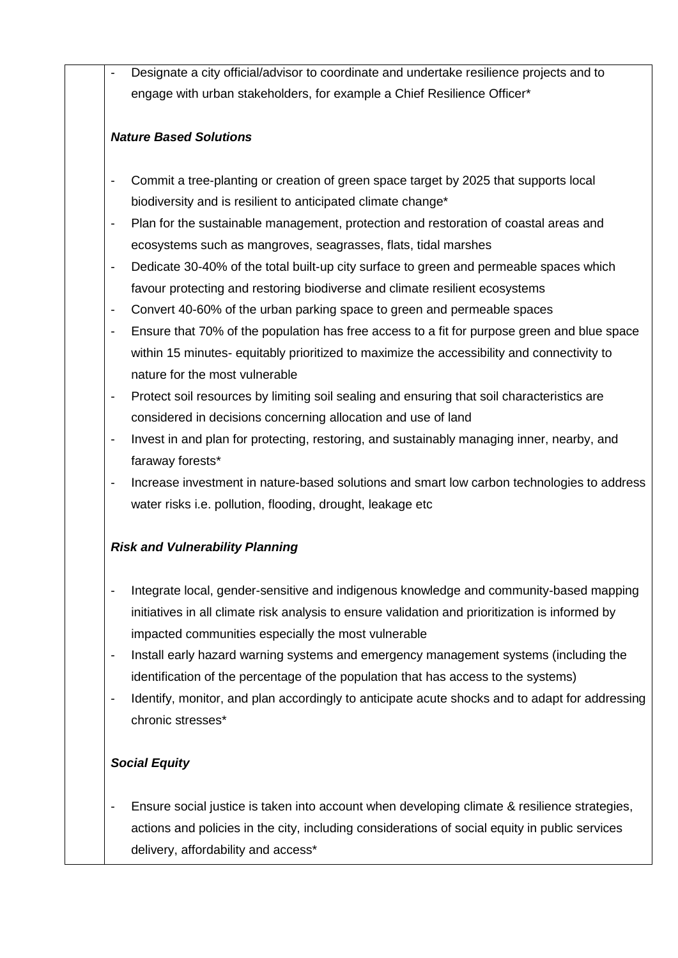Designate a city official/advisor to coordinate and undertake resilience projects and to engage with urban stakeholders, for example a Chief Resilience Officer\*

### *Nature Based Solutions*

- Commit a tree-planting or creation of green space target by 2025 that supports local biodiversity and is resilient to anticipated climate change\*
- Plan for the sustainable management, protection and restoration of coastal areas and ecosystems such as mangroves, seagrasses, flats, tidal marshes
- Dedicate 30-40% of the total built-up city surface to green and permeable spaces which favour protecting and restoring biodiverse and climate resilient ecosystems
- Convert 40-60% of the urban parking space to green and permeable spaces
- Ensure that 70% of the population has free access to a fit for purpose green and blue space within 15 minutes- equitably prioritized to maximize the accessibility and connectivity to nature for the most vulnerable
- Protect soil resources by limiting soil sealing and ensuring that soil characteristics are considered in decisions concerning allocation and use of land
- Invest in and plan for protecting, restoring, and sustainably managing inner, nearby, and faraway forests\*
- Increase investment in nature-based solutions and smart low carbon technologies to address water risks i.e. pollution, flooding, drought, leakage etc

# *Risk and Vulnerability Planning*

- Integrate local, gender-sensitive and indigenous knowledge and community-based mapping initiatives in all climate risk analysis to ensure validation and prioritization is informed by impacted communities especially the most vulnerable
- Install early hazard warning systems and emergency management systems (including the identification of the percentage of the population that has access to the systems)
- Identify, monitor, and plan accordingly to anticipate acute shocks and to adapt for addressing chronic stresses\*

# *Social Equity*

Ensure social justice is taken into account when developing climate & resilience strategies, actions and policies in the city, including considerations of social equity in public services delivery, affordability and access\*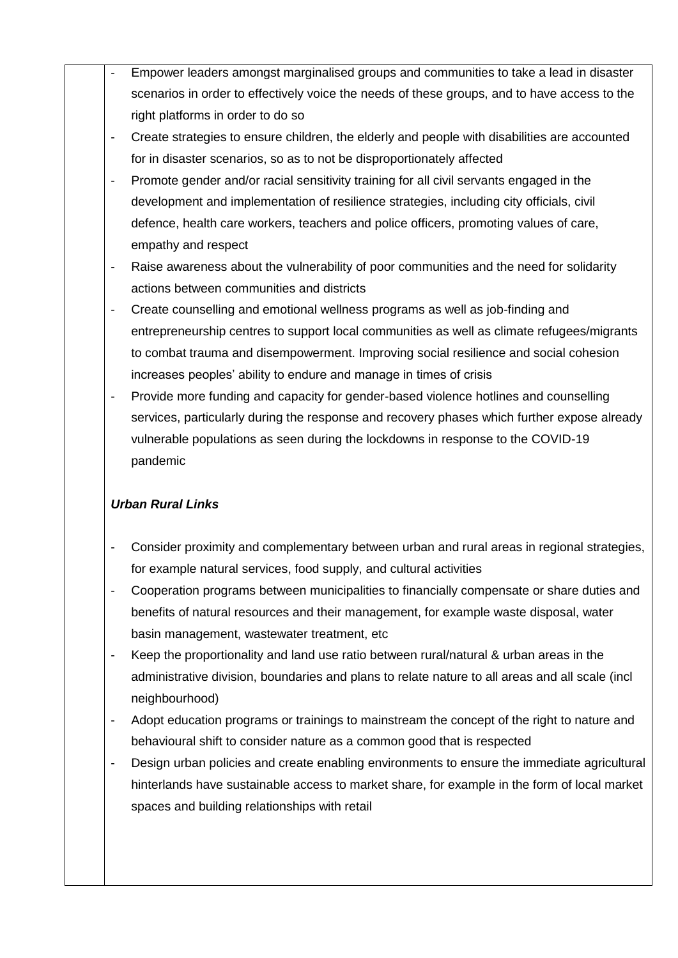- Empower leaders amongst marginalised groups and communities to take a lead in disaster scenarios in order to effectively voice the needs of these groups, and to have access to the right platforms in order to do so
	- Create strategies to ensure children, the elderly and people with disabilities are accounted for in disaster scenarios, so as to not be disproportionately affected
	- Promote gender and/or racial sensitivity training for all civil servants engaged in the development and implementation of resilience strategies, including city officials, civil defence, health care workers, teachers and police officers, promoting values of care, empathy and respect
	- Raise awareness about the vulnerability of poor communities and the need for solidarity actions between communities and districts
	- Create counselling and emotional wellness programs as well as job-finding and entrepreneurship centres to support local communities as well as climate refugees/migrants to combat trauma and disempowerment. Improving social resilience and social cohesion increases peoples' ability to endure and manage in times of crisis
	- Provide more funding and capacity for gender-based violence hotlines and counselling services, particularly during the response and recovery phases which further expose already vulnerable populations as seen during the lockdowns in response to the COVID-19 pandemic

# *Urban Rural Links*

- Consider proximity and complementary between urban and rural areas in regional strategies, for example natural services, food supply, and cultural activities
- Cooperation programs between municipalities to financially compensate or share duties and benefits of natural resources and their management, for example waste disposal, water basin management, wastewater treatment, etc
- Keep the proportionality and land use ratio between rural/natural & urban areas in the administrative division, boundaries and plans to relate nature to all areas and all scale (incl neighbourhood)
- Adopt education programs or trainings to mainstream the concept of the right to nature and behavioural shift to consider nature as a common good that is respected
- Design urban policies and create enabling environments to ensure the immediate agricultural hinterlands have sustainable access to market share, for example in the form of local market spaces and building relationships with retail